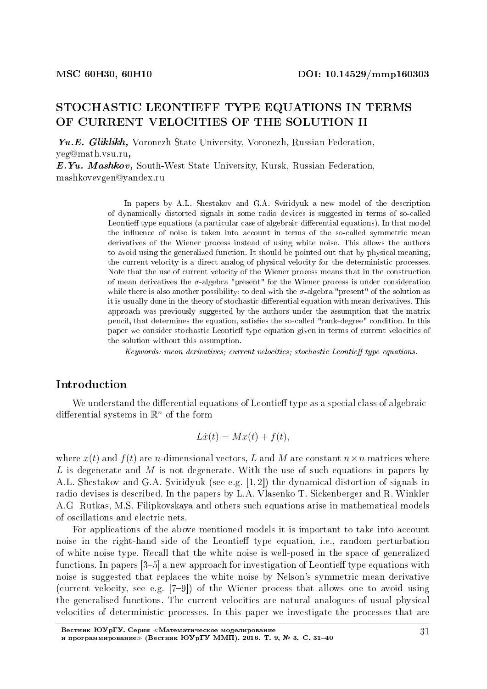## STOCHASTIC LEONTIEFF TYPE EQUATIONS IN TERMS OF CURRENT VELOCITIES OF THE SOLUTION II

Yu.E. Gliklikh, Voronezh State University, Voronezh, Russian Federation, yeg@math.vsu.ru,

E.Yu. Mashkov, South-West State University, Kursk, Russian Federation, mashkovevgen@yandex.ru

> In papers by A.L. Shestakov and G.A. Sviridyuk a new model of the description of dynamically distorted signals in some radio devices is suggested in terms of so-called Leontieff type equations (a particular case of algebraic-differential equations). In that model the influence of noise is taken into account in terms of the so-called symmetric mean derivatives of the Wiener process instead of using white noise. This allows the authors to avoid using the generalized function. It should be pointed out that by physical meaning, the current velocity is a direct analog of physical velocity for the deterministic processes. Note that the use of current velocity of the Wiener process means that in the construction of mean derivatives the *σ*-algebra "present" for the Wiener process is under consideration while there is also another possibility: to deal with the  $\sigma$ -algebra "present" of the solution as it is usually done in the theory of stochastic differential equation with mean derivatives. This approach was previously suggested by the authors under the assumption that the matrix pencil, that determines the equation, satisfies the so-called "rank-degree" condition. In this paper we consider stochastic Leontieff type equation given in terms of current velocities of the solution without this assumption.

Keywords: mean derivatives; current velocities; stochastic Leontieff type equations.

## Introduction

We understand the differential equations of Leontieff type as a special class of algebraicdifferential systems in  $\mathbb{R}^n$  of the form

$$
L\dot{x}(t) = Mx(t) + f(t),
$$

where  $x(t)$  and  $f(t)$  are *n*-dimensional vectors, *L* and *M* are constant  $n \times n$  matrices where *L* is degenerate and *M* is not degenerate. With the use of such equations in papers by A.L. Shestakov and G.A. Sviridyuk (see e.g. [1, 2]) the dynamical distortion of signals in radio devises is described. In the papers by L.A. Vlasenko T. Sickenberger and R. Winkler A.G Rutkas, M.S. Filipkovskaya and others such equations arise in mathematical models of oscillations and electric nets.

For applications of the above mentioned models it is important to take into account noise in the right-hand side of the Leontieff type equation, i.e., random perturbation of white noise type. Recall that the white noise is well-posed in the space of generalized functions. In papers  $[3-5]$  a new approach for investigation of Leontieff type equations with noise is suggested that replaces the white noise by Nelson's symmetric mean derivative (current velocity, see e.g.  $[7-9]$ ) of the Wiener process that allows one to avoid using the generalised functions. The current velocities are natural analogues of usual physical velocities of deterministic processes. In this paper we investigate the processes that are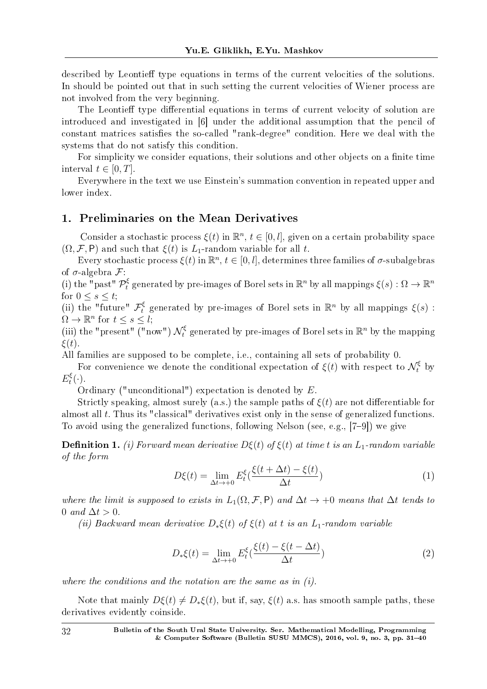described by Leontieff type equations in terms of the current velocities of the solutions. In should be pointed out that in such setting the current velocities of Wiener process are not involved from the very beginning.

The Leontieff type differential equations in terms of current velocity of solution are introduced and investigated in [6] under the additional assumption that the pencil of constant matrices satisfies the so-called "rank-degree" condition. Here we deal with the systems that do not satisfy this condition.

For simplicity we consider equations, their solutions and other objects on a finite time interval  $t \in [0, T]$ .

Everywhere in the text we use Einstein's summation convention in repeated upper and lower index.

### 1. Preliminaries on the Mean Derivatives

Consider a stochastic process  $\xi(t)$  in  $\mathbb{R}^n$ ,  $t \in [0, l]$ , given on a certain probability space  $(\Omega, \mathcal{F}, P)$  and such that  $\xi(t)$  is  $L_1$ -random variable for all *t*.

Every stochastic process  $\xi(t)$  in  $\mathbb{R}^n$ ,  $t \in [0, l]$ , determines three families of  $\sigma$ -subalgebras of *σ*-algebra *F*:

(i) the "past"  $\mathcal{P}_t^{\xi}$  generated by pre-images of Borel sets in  $\mathbb{R}^n$  by all mappings  $\xi(s): \Omega \to \mathbb{R}^n$ for  $0 \leq s \leq t$ ;

(ii) the "future"  $\mathcal{F}_t^{\xi}$  generated by pre-images of Borel sets in  $\mathbb{R}^n$  by all mappings  $\xi(s)$ :  $\Omega \to \mathbb{R}^n$  for  $t \leq s \leq l$ ;

(iii) the "present" ("now")  $\mathcal{N}_t^{\xi}$  generated by pre-images of Borel sets in  $\mathbb{R}^n$  by the mapping *ξ*(*t*).

All families are supposed to be complete, i.e., containing all sets of probability 0.

For convenience we denote the conditional expectation of  $\xi(t)$  with respect to  $\mathcal{N}_t^{\xi}$  by  $E_t^{\xi}$  $t^{\xi}(\cdot).$ 

Ordinary ("unconditional") expectation is denoted by *E*.

Strictly speaking, almost surely (a.s.) the sample paths of  $\xi(t)$  are not differentiable for almost all *t*. Thus its "classical" derivatives exist only in the sense of generalized functions. To avoid using the generalized functions, following Nelson (see, e.g.,  $[7-9]$ ) we give

**Definition 1.** (i) Forward mean derivative  $D\xi(t)$  of  $\xi(t)$  at time t is an  $L_1$ -random variable of the form

$$
D\xi(t) = \lim_{\Delta t \to +0} E_t^{\xi} \left( \frac{\xi(t + \Delta t) - \xi(t)}{\Delta t} \right)
$$
 (1)

where the limit is supposed to exists in  $L_1(\Omega, \mathcal{F}, \mathsf{P})$  and  $\Delta t \to +0$  means that  $\Delta t$  tends to 0 and ∆*t >* 0.

(ii) Backward mean derivative  $D_*\xi(t)$  of  $\xi(t)$  at *t* is an  $L_1$ -random variable

$$
D_*\xi(t) = \lim_{\Delta t \to +0} E_t^{\xi} \left( \frac{\xi(t) - \xi(t - \Delta t)}{\Delta t} \right)
$$
\n(2)

where the conditions and the notation are the same as in  $(i)$ .

Note that mainly  $D\xi(t) \neq D_{\ast}\xi(t)$ , but if, say,  $\xi(t)$  a.s. has smooth sample paths, these derivatives evidently coinside.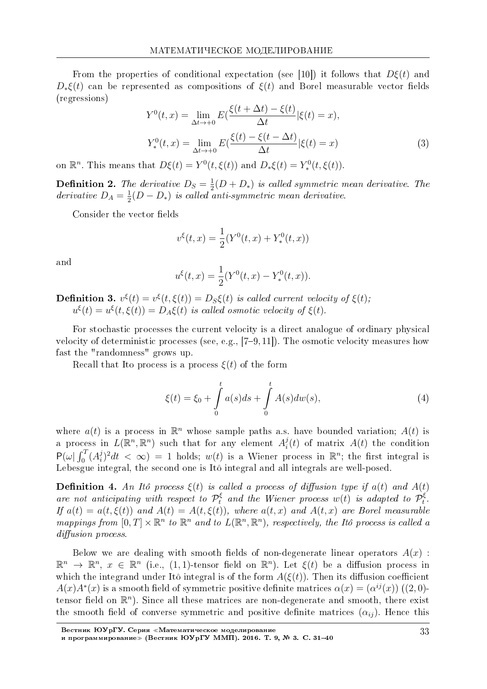From the properties of conditional expectation (see [10]) it follows that  $D\xi(t)$  and  $D_{*}\xi(t)$  can be represented as compositions of  $\xi(t)$  and Borel measurable vector fields (regressions)

$$
Y^{0}(t,x) = \lim_{\Delta t \to +0} E(\frac{\xi(t + \Delta t) - \xi(t)}{\Delta t} | \xi(t) = x),
$$
  
\n
$$
Y^{0}_{*}(t,x) = \lim_{\Delta t \to +0} E(\frac{\xi(t) - \xi(t - \Delta t)}{\Delta t} | \xi(t) = x)
$$
\n(3)

on  $\mathbb{R}^n$ . This means that  $D\xi(t) = Y^0(t, \xi(t))$  and  $D_*\xi(t) = Y_*^0(t, \xi(t))$ .

**Definition 2.** The derivative  $D_S = \frac{1}{2}(D + D_*)$  is called symmetric mean derivative. The derivative  $D_A = \frac{1}{2}(D - D_*)$  is called anti-symmetric mean derivative.

Consider the vector fields

$$
v^{\xi}(t,x) = \frac{1}{2}(Y^{0}(t,x) + Y^{0}_{*}(t,x))
$$

and

$$
u^{\xi}(t,x) = \frac{1}{2}(Y^{0}(t,x) - Y^{0}_{*}(t,x))
$$

**Definition 3.**  $v^{\xi}(t) = v^{\xi}(t, \xi(t)) = D_S \xi(t)$  is called current velocity of  $\xi(t)$ ;  $u^{\xi}(t) = u^{\xi}(t,\xi(t)) = D_A\xi(t)$  is called osmotic velocity of  $\xi(t)$ .

For stochastic processes the current velocity is a direct analogue of ordinary physical velocity of deterministic processes (see, e.g.,  $[7-9, 11]$ ). The osmotic velocity measures how fast the "randomness" grows up.

Recall that I to process is a process  $\xi(t)$  of the form

$$
\xi(t) = \xi_0 + \int_0^t a(s)ds + \int_0^t A(s)dw(s),
$$
\n(4)

where  $a(t)$  is a process in  $\mathbb{R}^n$  whose sample paths a.s. have bounded variation;  $A(t)$  is a process in  $L(\mathbb{R}^n, \mathbb{R}^n)$  such that for any element  $A_i^j(t)$  of matrix  $A(t)$  the condition  $P(\omega) \int_0^T (A_i^j)^2 dt < \infty$  = 1 holds;  $w(t)$  is a Wiener process in  $\mathbb{R}^n$ ; the first integral is Lebesgue integral, the second one is Itô integral and all integrals are well-posed.

**Definition 4.** An Itô process  $\xi(t)$  is called a process of diffusion type if  $a(t)$  and  $A(t)$ are not anticipating with respect to  $\mathcal{P}_t^{\xi}$  and the Wiener process  $w(t)$  is adapted to  $\mathcal{P}_t^{\xi}$ . If  $a(t) = a(t, \xi(t))$  and  $A(t) = A(t, \xi(t))$ , where  $a(t, x)$  and  $A(t, x)$  are Borel measurable mappings from  $[0,T] \times \mathbb{R}^n$  to  $\mathbb{R}^n$  and to  $L(\mathbb{R}^n, \mathbb{R}^n)$ , respectively, the Itô process is called a diffusion process.

Below we are dealing with smooth fields of non-degenerate linear operators  $A(x)$ :  $\mathbb{R}^n \to \mathbb{R}^n$ ,  $x \in \mathbb{R}^n$  (i.e., (1,1)-tensor field on  $\mathbb{R}^n$ ). Let  $\xi(t)$  be a diffusion process in which the integrand under Itô integral is of the form  $A(\xi(t))$ . Then its diffusion coefficient  $A(x)A^*(x)$  is a smooth field of symmetric positive definite matrices  $\alpha(x) = (\alpha^{ij}(x))$  ((2,0) tensor field on  $\mathbb{R}^n$ ). Since all these matrices are non-degenerate and smooth, there exist the smooth field of converse symmetric and positive definite matrices  $(\alpha_{ii})$ . Hence this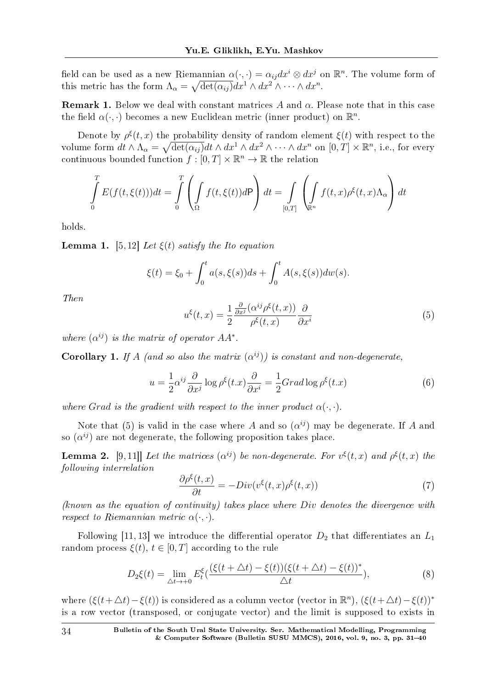field can be used as a new Riemannian  $\alpha(\cdot, \cdot) = \alpha_{ij} dx^i \otimes dx^j$  on  $\mathbb{R}^n$ . The volume form of this metric has the form  $\Lambda_{\alpha} = \sqrt{\det(\alpha_{ij})} dx^1 \wedge dx^2 \wedge \cdots \wedge dx^n$ .

Remark 1. Below we deal with constant matrices *A* and *α*. Please note that in this case the field  $\alpha(\cdot, \cdot)$  becomes a new Euclidean metric (inner product) on  $\mathbb{R}^n$ .

Denote by  $\rho^{\xi}(t, x)$  the probability density of random element  $\xi(t)$  with respect to the volume form  $dt \wedge \Lambda_{\alpha} = \sqrt{\det(\alpha_{ij})} dt \wedge dx^1 \wedge dx^2 \wedge \cdots \wedge dx^n$  on  $[0, T] \times \mathbb{R}^n$ , i.e., for every continuous bounded function  $f : [0, T] \times \mathbb{R}^n \to \mathbb{R}$  the relation

$$
\int_{0}^{T} E(f(t,\xi(t)))dt = \int_{0}^{T} \left( \int_{\Omega} f(t,\xi(t))d\mathsf{P} \right) dt = \int_{[0,T]} \left( \int_{\mathbb{R}^{n}} f(t,x)\rho^{\xi}(t,x)\Lambda_{\alpha} \right) dt
$$

holds.

**Lemma 1.** [5, 12] Let  $\xi(t)$  satisfy the Ito equation

$$
\xi(t) = \xi_0 + \int_0^t a(s, \xi(s))ds + \int_0^t A(s, \xi(s))dw(s).
$$

Then

$$
u^{\xi}(t,x) = \frac{1}{2} \frac{\frac{\partial}{\partial x^{j}} (\alpha^{ij} \rho^{\xi}(t,x))}{\rho^{\xi}(t,x)} \frac{\partial}{\partial x^{i}}
$$
(5)

where  $(\alpha^{ij})$  is the matrix of operator  $AA^*$ .

**Corollary 1.** If *A* (and so also the matrix  $(\alpha^{ij})$ ) is constant and non-degenerate,

$$
u = \frac{1}{2} \alpha^{ij} \frac{\partial}{\partial x^j} \log \rho^{\xi}(t.x) \frac{\partial}{\partial x^i} = \frac{1}{2} Grad \log \rho^{\xi}(t.x)
$$
 (6)

where *Grad* is the gradient with respect to the inner product  $\alpha(\cdot, \cdot)$ .

Note that (5) is valid in the case where  $A$  and so  $(\alpha^{ij})$  may be degenerate. If  $A$  and so  $(\alpha^{ij})$  are not degenerate, the following proposition takes place.

**Lemma 2.** [9,11]] Let the matrices  $(\alpha^{ij})$  be non-degenerate. For  $v^{\xi}(t,x)$  and  $\rho^{\xi}(t,x)$  the following interrelation

$$
\frac{\partial \rho^{\xi}(t,x)}{\partial t} = -Div(v^{\xi}(t,x)\rho^{\xi}(t,x))\tag{7}
$$

(known as the equation of continuity) takes place where *Div* denotes the divergence with *respect to Riemannian metric*  $\alpha(\cdot, \cdot)$ .

Following [11, 13] we introduce the differential operator  $D_2$  that differentiates an  $L_1$ random process  $\xi(t)$ ,  $t \in [0, T]$  according to the rule

$$
D_2\xi(t) = \lim_{\Delta t \to +0} E_t^{\xi} \left( \frac{(\xi(t + \Delta t) - \xi(t))(\xi(t + \Delta t) - \xi(t))^*}{\Delta t} \right),\tag{8}
$$

where  $(\xi(t + \Delta t) - \xi(t))$  is considered as a column vector (vector in  $\mathbb{R}^n$ ),  $(\xi(t + \Delta t) - \xi(t))^*$ is a row vector (transposed, or conjugate vector) and the limit is supposed to exists in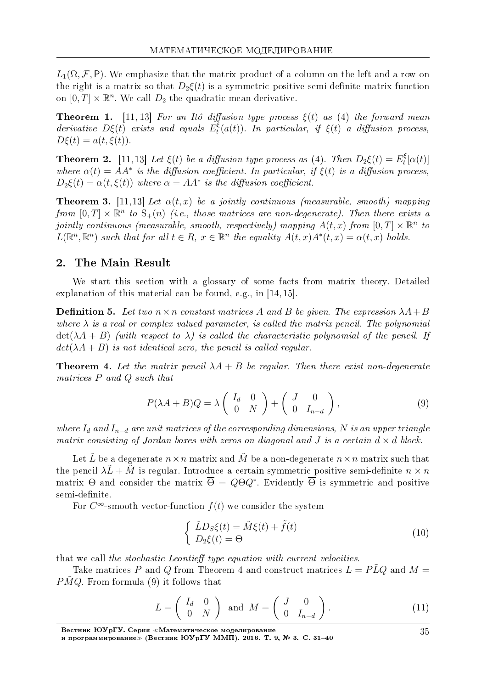$L_1(\Omega, \mathcal{F}, P)$ . We emphasize that the matrix product of a column on the left and a row on the right is a matrix so that  $D_2\xi(t)$  is a symmetric positive semi-definite matrix function on  $[0, T] \times \mathbb{R}^n$ . We call  $D_2$  the quadratic mean derivative.

**Theorem 1.** [11, 13] For an Itô diffusion type process  $\xi(t)$  as (4) the forward mean derivative *Dξ*(*t*) exists and equals *E ξ*  $f_t^{\xi}(a(t))$ . In particular, if  $\xi(t)$  a diffusion process,  $D\xi(t) = a(t, \xi(t)).$ 

**Theorem 2.** [11, 13] Let  $\xi(t)$  be a diffusion type process as (4). Then  $D_2\xi(t) = E_t^{\xi}$  $t_t^{\xi}[\alpha(t)]$ where  $\alpha(t) = AA^*$  is the diffusion coefficient. In particular, if  $\xi(t)$  is a diffusion process,  $D_2\xi(t) = \alpha(t, \xi(t))$  where  $\alpha = AA^*$  is the diffusion coefficient.

**Theorem 3.** [11,13] Let  $\alpha(t, x)$  be a jointly continuous (measurable, smooth) mapping from  $[0, T] \times \mathbb{R}^n$  to  $S_+(n)$  (i.e., those matrices are non-degenerate). Then there exists a  $jointly\ continuous\ (measurable,\ smooth,\ respectively)\ mapping\ A(t,x)\ from\ [0,T]\times\mathbb{R}^n\ to$  $L(\mathbb{R}^n, \mathbb{R}^n)$  such that for all  $t \in R$ ,  $x \in \mathbb{R}^n$  the equality  $A(t, x)A^*(t, x) = \alpha(t, x)$  holds.

### 2. The Main Result

We start this section with a glossary of some facts from matrix theory. Detailed explanation of this material can be found, e.g., in [14, 15].

**Definition 5.** Let two  $n \times n$  constant matrices A and B be given. The expression  $\lambda A + B$ where  $\lambda$  is a real or complex valued parameter, is called the matrix pencil. The polynomial  $\det(\lambda A + B)$  (with respect to  $\lambda$ ) is called the characteristic polynomial of the pencil. If  $det(\lambda A + B)$  is not identical zero, the pencil is called regular.

**Theorem 4.** Let the matrix pencil  $\lambda A + B$  be regular. Then there exist non-degenerate matrices *P* and *Q* such that

$$
P(\lambda A + B)Q = \lambda \begin{pmatrix} I_d & 0 \\ 0 & N \end{pmatrix} + \begin{pmatrix} J & 0 \\ 0 & I_{n-d} \end{pmatrix},
$$
 (9)

where  $I_d$  and  $I_{n-d}$  are unit matrices of the corresponding dimensions, N is an upper triangle matrix consisting of Jordan boxes with zeros on diagonal and *J* is a certain  $d \times d$  block.

Let  $\tilde{L}$  be a degenerate  $n \times n$  matrix and  $\tilde{M}$  be a non-degenerate  $n \times n$  matrix such that the pencil  $\lambda \tilde{L} + \tilde{M}$  is regular. Introduce a certain symmetric positive semi-definite  $n \times n$ matrix Θ and consider the matrix  $Θ = QQ^*$ . Evidently Θ is symmetric and positive semi-definite.

For  $C^{\infty}$ -smooth vector-function  $f(t)$  we consider the system

$$
\begin{cases}\n\tilde{L}D_{S}\xi(t) = \tilde{M}\xi(t) + \tilde{f}(t) \\
D_{2}\xi(t) = \overline{\Theta}\n\end{cases}
$$
\n(10)

that we call the stochastic Leontieff type equation with current velocities.

Take matrices *P* and *Q* from Theorem 4 and construct matrices  $L = P\tilde{L}Q$  and  $M =$ *PMQ*. From formula (9) it follows that

$$
L = \begin{pmatrix} I_d & 0 \\ 0 & N \end{pmatrix} \text{ and } M = \begin{pmatrix} J & 0 \\ 0 & I_{n-d} \end{pmatrix}.
$$
 (11)

Вестник ЮУрГУ. Серия «Математическое моделирование

и программирование≫ (Вестник ЮУрГУ ММП). 2016. Т. 9, № 3. C. 31–40

35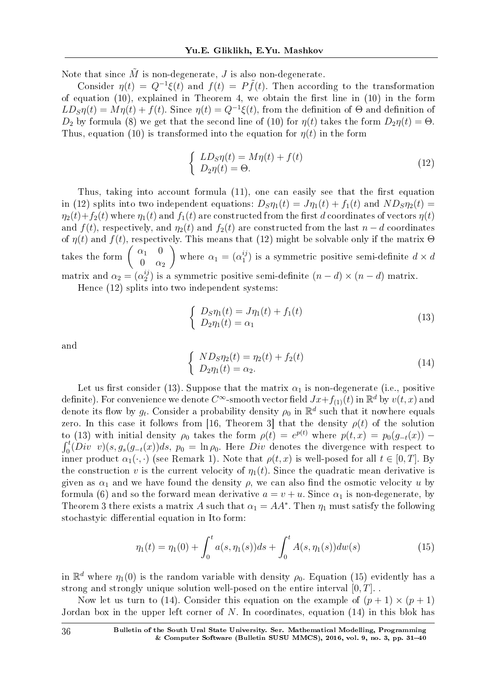Note that since  $\tilde{M}$  is non-degenerate, *J* is also non-degenerate.

Consider  $\eta(t) = Q^{-1}\xi(t)$  and  $f(t) = P\tilde{f}(t)$ . Then according to the transformation of equation (10), explained in Theorem 4, we obtain the first line in  $(10)$  in the form  $LD_{\rm S} \eta(t) = M \eta(t) + f(t)$ . Since  $\eta(t) = Q^{-1} \xi(t)$ , from the definition of Θ and definition of *D*<sub>2</sub> by formula (8) we get that the second line of (10) for  $\eta(t)$  takes the form  $D_2\eta(t) = \Theta$ . Thus, equation (10) is transformed into the equation for  $\eta(t)$  in the form

$$
\begin{cases}\nLD_{\mathcal{S}}\eta(t) = M\eta(t) + f(t) \\
D_{2}\eta(t) = \Theta.\n\end{cases} \tag{12}
$$

Thus, taking into account formula  $(11)$ , one can easily see that the first equation in (12) splits into two independent equations:  $D_S \eta_1(t) = J \eta_1(t) + f_1(t)$  and  $ND_S \eta_2(t) =$  $\eta_2(t) + f_2(t)$  where  $\eta_1(t)$  and  $f_1(t)$  are constructed from the first *d* coordinates of vectors  $\eta(t)$ and  $f(t)$ , respectively, and  $\eta_2(t)$  and  $f_2(t)$  are constructed from the last  $n - d$  coordinates of  $\eta(t)$  and  $f(t)$ , respectively. This means that (12) might be solvable only if the matrix  $\Theta$ takes the form  $\begin{pmatrix} \alpha_1 & 0 \\ 0 & \alpha_2 \end{pmatrix}$  $0 \alpha_2$ where  $\alpha_1 = (\alpha_1^{ij})$  $\binom{y}{1}$  is a symmetric positive semi-definite  $d \times d$ matrix and  $\alpha_2 = (\alpha_2^{ij})$  $\binom{y}{2}$  is a symmetric positive semi-definite  $(n-d) \times (n-d)$  matrix.

Hence (12) splits into two independent systems:

$$
\begin{cases}\nD_S \eta_1(t) = J \eta_1(t) + f_1(t) \\
D_2 \eta_1(t) = \alpha_1\n\end{cases} \tag{13}
$$

and

$$
\begin{cases}\nND_{S}\eta_{2}(t) = \eta_{2}(t) + f_{2}(t) \\
D_{2}\eta_{1}(t) = \alpha_{2}.\n\end{cases}
$$
\n(14)

Let us first consider (13). Suppose that the matrix  $\alpha_1$  is non-degenerate (i.e., positive definite). For convenience we denote  $C^{\infty}$ -smooth vector field  $Jx+f_{(1)}(t)$  in  $\mathbb{R}^d$  by  $v(t,x)$  and denote its flow by  $g_t$ . Consider a probability density  $\rho_0$  in  $\mathbb{R}^d$  such that it nowhere equals zero. In this case it follows from [16, Theorem 3] that the density  $\rho(t)$  of the solution to (13) with initial density  $ρ_0$  takes the form  $ρ(t) = e^{p(t)}$  where  $p(t, x) = p_0(g_{-t}(x)) \int_0^t (Div \ v)(s, g_s(g_{-t}(x))ds, p_0 = \ln ρ_0$ . Here *Div* denotes the divergence with respect to  $\int_0^t (Div \, v)(s, g_s(g_{-t}(x))ds, p_0 = \ln \rho_0$ . Here *Div* denotes the divergence with respect to inner product  $\alpha_1(\cdot, \cdot)$  (see Remark 1). Note that  $\rho(t, x)$  is well-posed for all  $t \in [0, T]$ . By the construction *v* is the current velocity of  $\eta_1(t)$ . Since the quadratic mean derivative is given as  $\alpha_1$  and we have found the density  $\rho$ , we can also find the osmotic velocity *u* by formula (6) and so the forward mean derivative  $a = v + u$ . Since  $\alpha_1$  is non-degenerate, by Theorem 3 there exists a matrix *A* such that  $\alpha_1 = AA^*$ . Then  $\eta_1$  must satisfy the following stochastyic differential equation in Ito form:

$$
\eta_1(t) = \eta_1(0) + \int_0^t a(s, \eta_1(s))ds + \int_0^t A(s, \eta_1(s))dw(s)
$$
\n(15)

in  $\mathbb{R}^d$  where  $\eta_1(0)$  is the random variable with density  $\rho_0$ . Equation (15) evidently has a strong and strongly unique solution well-posed on the entire interval [0*, T*]. .

Now let us turn to (14). Consider this equation on the example of  $(p + 1) \times (p + 1)$ Jordan box in the upper left corner of *N*. In coordinates, equation (14) in this blok has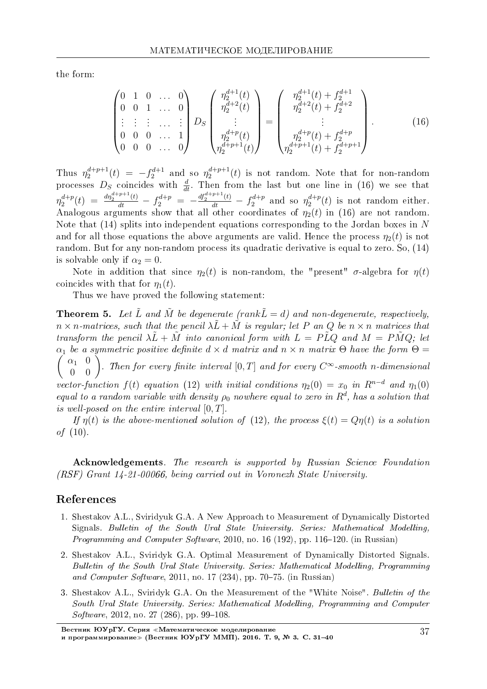the form:

$$
\begin{pmatrix}\n0 & 1 & 0 & \dots & 0 \\
0 & 0 & 1 & \dots & 0 \\
\vdots & \vdots & \vdots & \dots & \vdots \\
0 & 0 & 0 & \dots & 1 \\
0 & 0 & 0 & \dots & 0\n\end{pmatrix} D_S \begin{pmatrix}\n\eta_2^{d+1}(t) \\
\eta_2^{d+2}(t) \\
\vdots \\
\eta_2^{d+p}(t) \\
\eta_2^{d+p+1}(t)\n\end{pmatrix} = \begin{pmatrix}\n\eta_2^{d+1}(t) + f_2^{d+1} \\
\eta_2^{d+2}(t) + f_2^{d+2} \\
\vdots \\
\eta_2^{d+p}(t) + f_2^{d+p}\n\end{pmatrix} .
$$
\n(16)

Thus  $\eta_2^{d+p+1}(t) = -f_2^{d+1}$  and so  $\eta_2^{d+p+1}(t)$  is not random. Note that for non-random processes  $D_S$  coincides with  $\frac{d}{dt}$ . Then from the last but one line in (16) we see that  $\eta_2^{d+p}(t) = \frac{dq_2^{d+p+1}(t)}{dt} - f_2^{d+p} = -\frac{df_2^{d+p+1}(t)}{dt} - f_2^{d+p}$  and so  $\eta_2^{d+p}(t)$  is not random either. Analogous arguments show that all other coordinates of  $\eta_2(t)$  in (16) are not random Note that  $(14)$  splits into independent equations corresponding to the Jordan boxes in N and for all those equations the above arguments are valid. Hence the process  $\eta_2(t)$  is not random. But for any non-random process its quadratic derivative is equal to zero. So, (14) is solvable only if  $\alpha_2 = 0$ .

Note in addition that since  $\eta_2(t)$  is non-random, the "present"  $\sigma$ -algebra for  $\eta(t)$ coincides with that for  $\eta_1(t)$ .

Thus we have proved the following statement:

**Theorem 5.** Let  $\tilde{L}$  and  $\tilde{M}$  be degenerate (rank  $\tilde{L} = d$ ) and non-degenerate, respectively,  $n \times n$ -matrices, such that the pencil  $\lambda \tilde{L} + \tilde{M}$  is regular; let P an Q be  $n \times n$  matrices that transform the pencil  $\lambda \tilde{L} + \tilde{M}$  into canonical form with  $L = P\tilde{L}Q$  and  $M = P\tilde{M}Q$ ; let  $\alpha_1$  be a symmetric positive definite  $d \times d$  matrix and  $n \times n$  matrix  $\Theta$  have the form  $\Theta =$  $\begin{pmatrix} \alpha_1 & 0 \\ 0 & 0 \end{pmatrix}$ . Then for every finite interval  $[0, T]$  and for every  $C^{\infty}$ -smooth n-dimensional vector-function  $f(t)$  equation (12) with initial conditions  $\eta_2(0) = x_0$  in  $R^{n-d}$  and  $\eta_1(0)$ equal to a random variable with density  $\rho_0$  nowhere equal to zero in  $R^d$ , has a solution that is well-posed on the entire interval  $[0, T]$ .

If  $\eta(t)$  is the above-mentioned solution of (12), the process  $\xi(t) = Q\eta(t)$  is a solution *of*  $(10)$ .

**Acknowledgements**. The research is supported by Russian Science Foundation (RSF) Grant 14-21-00066, being carried out in Voronezh State University.

### References

- 1. Shestakov A.L., Sviridyuk G.A. A New Approach to Measurement of Dynamically Distorted Signals. Bulletin of the South Ural State University. Series: Mathematical Modelling. *Programming and Computer Software*, 2010, no. 16 (192), pp. 116–120. (in Russian)
- 2. Shestakov A.L., Sviridyk G.A. Optimal Measurement of Dynamically Distorted Signals. Bulletin of the South Ural State University. Series: Mathematical Modelling, Programming and Computer Software, 2011, no. 17 (234), pp. 70–75. (in Russian)
- 3. Shestakov A.L., Sviridyk G.A. On the Measurement of the "White Noise". Bulletin of the South Ural State University. Series: Mathematical Modelling, Programming and Computer *Software*, 2012, no. 27 (286), pp. 99–108.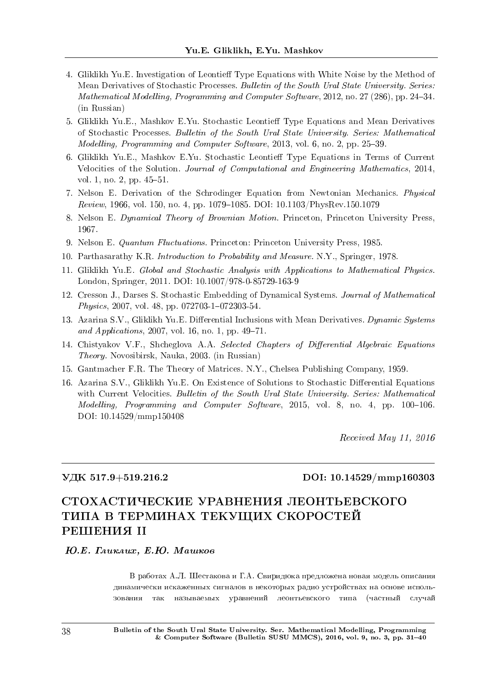- 4. Gliklikh Yu.E. Investigation of Leontieff Type Equations with White Noise by the Method of Mean Derivatives of Stochastic Processes. Bulletin of the South Ural State University. Series: Mathematical Modelling, Programming and Computer Software, 2012, no. 27 (286), pp. 24–34. (in Russian)
- 5. Gliklikh Yu.E., Mashkov E.Yu. Stochastic Leontieff Type Equations and Mean Derivatives of Stochastic Processes. Bulletin of the South Ural State University. Series: Mathematical Modelling, Programming and Computer Software, 2013, vol. 6, no. 2, pp.  $25-39$ .
- 6. Gliklikh Yu.E., Mashkov E.Yu. Stochastic Leontieff Type Equations in Terms of Current Velocities of the Solution. Journal of Computational and Engineering Mathematics, 2014, vol. 1, no. 2, pp.  $45-51$ .
- 7. Nelson E. Derivation of the Schrodinger Equation from Newtonian Mechanics. Physical Review, 1966, vol. 150, no. 4, pp. 1079–1085. DOI:  $10.1103/PhysRev.150.1079$
- 8. Nelson E. Dynamical Theory of Brownian Motion. Princeton, Princeton University Press, 1967.
- 9. Nelson E. Quantum Fluctuations. Princeton: Princeton University Press, 1985.
- 10. Parthasarathy K.R. Introduction to Probability and Measure. N.Y., Springer, 1978.
- 11. Gliklikh Yu.E. Global and Stochastic Analysis with Applications to Mathematical Physics. London, Springer, 2011. DOI: 10.1007/978-0-85729-163-9
- 12. Cresson J., Darses S. Stochastic Embedding of Dynamical Systems. Journal of Mathematical  $Physics, 2007, vol. 48, pp. 072703-1-072303-54.$
- 13. Azarina S.V., Gliklikh Yu.E. Differential Inclusions with Mean Derivatives. Dynamic Systems and Applications, 2007, vol. 16, no. 1, pp.  $49-71$ .
- 14. Chistyakov V.F., Shcheglova A.A. Selected Chapters of Differential Algebraic Equations Theory. Novosibirsk, Nauka, 2003. (in Russian)
- 15. Gantmacher F.R. The Theory of Matrices. N.Y., Chelsea Publishing Company, 1959.
- 16. Azarina S.V., Gliklikh Yu.E. On Existence of Solutions to Stochastic Differential Equations with Current Velocities. Bulletin of the South Ural State University. Series: Mathematical Modelling, Programming and Computer Software, 2015, vol. 8, no. 4, pp. 100-106. DOI: 10.14529/mmp150408

Received May 11, 2016

### ÓÄÊ 517.9+519.216.2 DOI: 10.14529/mmp160303

# СТОХАСТИЧЕСКИЕ УРАВНЕНИЯ ЛЕОНТЬЕВСКОГО ТИПА В ТЕРМИНАХ ТЕКУЩИХ СКОРОСТЕЙ РЕШЕНИЯ II

### **FO.E.** FAUKAUX. E.HO. Maulkoe

В работах А.Л. Шестакова и Г.А. Свиридюка предложена новая модель описания динамически искаженных сигналов в некоторых радио устройствах на основе использования так называемых уравнений леонтьевского типа (частный случай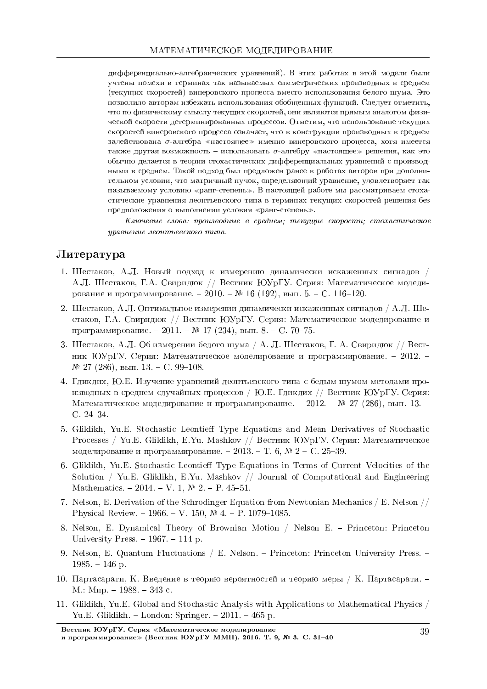дифференциально-алгебраических уравнений). В этих работах в этой модели были учтены помехи в терминах так называемых симметрических производных в среднем (текущих скоростей) винеровского процесса вместо использования белого шума. Это позволило авторам избежать использования обобщенных функций. Следует отметить, что по физическому смыслу текущих скоростей, они являются прямым аналогом физической скорости детерминированных процессов. Отметим, что использование текущих скоростей винеровского процесса означает, что в конструкции производных в среднем задействована  $\sigma$ -алгебра «настоящее» именно винеровского процесса, хотя имеется также другая возможность – использовать  $\sigma$ -алгебру «настоящее» решения, как это обычно делается в теории стохастических дифференциальных уравнений с производными в среднем. Такой подход был предложен ранее в работах авторов при дополнительном условии, что матричный пучок, определяющий уравнение, удовлетворяет так называемому условию «ранг-степень». В настоящей работе мы рассматриваем стохастические уравнения леонтьевского типа в терминах текущих скоростей решения без предположения о выполнении условия «ранг-степень».

Ключевые слова: производные в среднем; текущие скорости; стохастическое иравнение леонтьевского типа.

### Литература

- 1. Шестаков, А.Л. Новый подход к измерению динамически искаженных сигналов / А.Л. Шестаков, Г.А. Свиридюк // Вестник ЮУрГУ. Серия: Математическое моделирование и программирование. - 2010. - № 16 (192), вып. 5. - С. 116-120.
- 2. Шестаков, А.Л. Оптимальное измерении динамически искаженных сигналов / А.Л. Шестаков, Г.А. Свиридюк // Вестник ЮУрГУ. Серия: Математическое моделирование и программирование. − 2011. – № 17 (234), вып. 8. – С. 70–75.
- 3. Шестаков, А.Л. Об измерении белого шума / А. Л. Шестаков, Г. А. Свиридюк // Вестник ЮУрГУ. Серия: Математическое моделирование и программирование. - 2012. - $N$ ° 27 (286), вып. 13. − С. 99-108.
- 4. Гликлих, Ю.Е. Изучение уравнений леонтьевского типа с белым шумом метолами производных в среднем случайных процессов / Ю.Е. Гликлих // Вестник ЮУрГУ. Серия: Математическое моделирование и программирование. – 2012. – № 27 (286), вып. 13. –  $C. 24-34$
- 5. Gliklikh, Yu.E. Stochastic Leontieff Type Equations and Mean Derivatives of Stochastic Processes / Yu.E. Gliklikh, E.Yu. Mashkov // Вестник ЮУрГУ. Серия: Математическое моделирование и программирование. - 2013. - Т. 6, № 2 - С. 25-39.
- 6. Gliklikh, Yu.E. Stochastic Leontieff Type Equations in Terms of Current Velocities of the Solution / Yu.E. Gliklikh, E.Yu. Mashkov  $\frac{1}{2}$  Journal of Computational and Engineering Mathematics. - 2014. - V. 1,  $\mathbb{N}^2$  2. - P. 45-51.
- 7. Nelson, E. Derivation of the Schrodinger Equation from Newtonian Mechanics / E. Nelson // Physical Review. - 1966. - V. 150,  $\mathcal{N}$  4. - P. 1079-1085.
- 8. Nelson, E. Dynamical Theory of Brownian Motion / Nelson E. Princeton: Princeton University Press.  $-1967. -114$  p.
- 9. Nelson, E. Quantum Fluctuations / E. Nelson. Princeton: Princeton University Press. -1985. – 146 p.
- 10. Партасарати, К. Введение в теорию вероятностей и теорию меры / К. Партасарати. -М.: Мир. – 1988. – 343 с.
- 11. Gliklikh, Yu.E. Global and Stochastic Analysis with Applications to Mathematical Physics / Yu.E. Gliklikh. – London: Springer. – 2011. – 465 p.